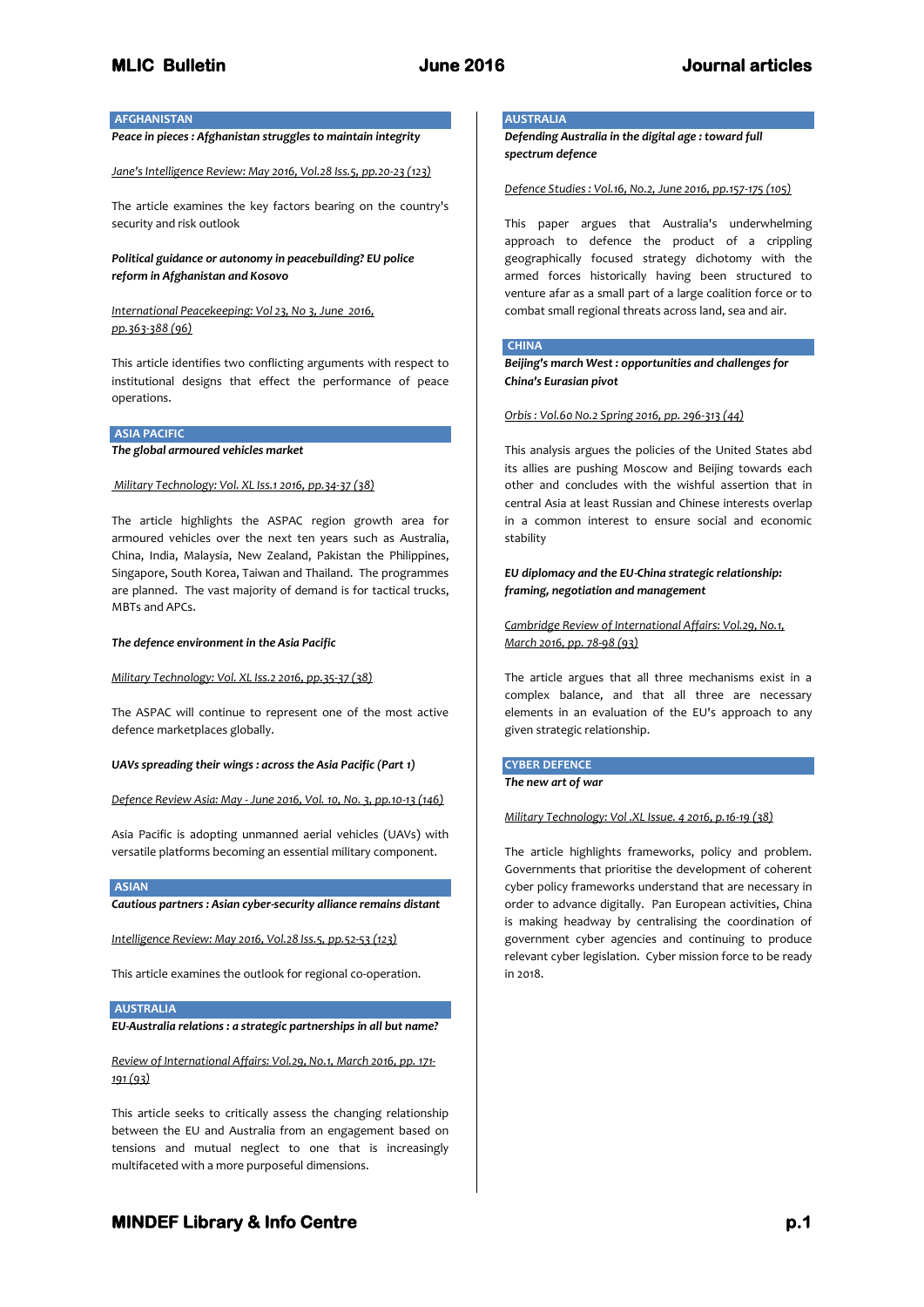# **AFGHANISTAN**

*Peace in pieces : Afghanistan struggles to maintain integrity*

*Jane's Intelligence Review: May 2016, Vol.28 Iss.5, pp.20-23 (123)*

The article examines the key factors bearing on the country's security and risk outlook

*Political guidance or autonomy in peacebuilding? EU police reform in Afghanistan and Kosovo* 

*International Peacekeeping: Vol 23, No 3, June 2016, pp.363-388 (96)*

This article identifies two conflicting arguments with respect to institutional designs that effect the performance of peace operations.

# **ASIA PACIFIC**

*The global armoured vehicles market*

## *Military Technology: Vol. XL Iss.1 2016, pp.34-37 (38)*

The article highlights the ASPAC region growth area for armoured vehicles over the next ten years such as Australia, China, India, Malaysia, New Zealand, Pakistan the Philippines, Singapore, South Korea, Taiwan and Thailand. The programmes are planned. The vast majority of demand is for tactical trucks, MBTs and APCs.

### *The defence environment in the Asia Pacific*

## *Military Technology: Vol. XL Iss.2 2016, pp.35-37 (38)*

The ASPAC will continue to represent one of the most active defence marketplaces globally.

#### *UAVs spreading their wings : across the Asia Pacific (Part 1)*

*Defence Review Asia: May - June 2016, Vol. 10, No. 3, pp.10-13 (146)*

Asia Pacific is adopting unmanned aerial vehicles (UAVs) with versatile platforms becoming an essential military component.

**ASIAN** 

*Cautious partners : Asian cyber-security alliance remains distant*

*Intelligence Review: May 2016, Vol.28 Iss.5, pp.52-53 (123)*

This article examines the outlook for regional co-operation.

## **AUSTRALIA**

*EU-Australia relations : a strategic partnerships in all but name?*

*Review of International Affairs: Vol.29, No.1, March 2016, pp. 171- 191 (93)*

This article seeks to critically assess the changing relationship between the EU and Australia from an engagement based on tensions and mutual neglect to one that is increasingly multifaceted with a more purposeful dimensions.

# **AUSTRALIA**

*Defending Australia in the digital age : toward full spectrum defence*

*Defence Studies : Vol.16, No.2, June 2016, pp.157-175 (105)*

This paper argues that Australia's underwhelming approach to defence the product of a crippling geographically focused strategy dichotomy with the armed forces historically having been structured to venture afar as a small part of a large coalition force or to combat small regional threats across land, sea and air.

## **CHINA**

*Beijing's march West : opportunities and challenges for China's Eurasian pivot* 

## *Orbis : Vol.60 No.2 Spring 2016, pp. 296-313 (44)*

This analysis argues the policies of the United States abd its allies are pushing Moscow and Beijing towards each other and concludes with the wishful assertion that in central Asia at least Russian and Chinese interests overlap in a common interest to ensure social and economic stability

*EU diplomacy and the EU-China strategic relationship: framing, negotiation and management*

*Cambridge Review of International Affairs: Vol.29, No.1, March 2016, pp. 78-98 (93)*

The article argues that all three mechanisms exist in a complex balance, and that all three are necessary elements in an evaluation of the EU's approach to any given strategic relationship.

**CYBER DEFENCE** *The new art of war*

*Military Technology: Vol .XL Issue. 4 2016, p.16-19 (38)*

The article highlights frameworks, policy and problem. Governments that prioritise the development of coherent cyber policy frameworks understand that are necessary in order to advance digitally. Pan European activities, China is making headway by centralising the coordination of government cyber agencies and continuing to produce relevant cyber legislation. Cyber mission force to be ready  $in$  2018.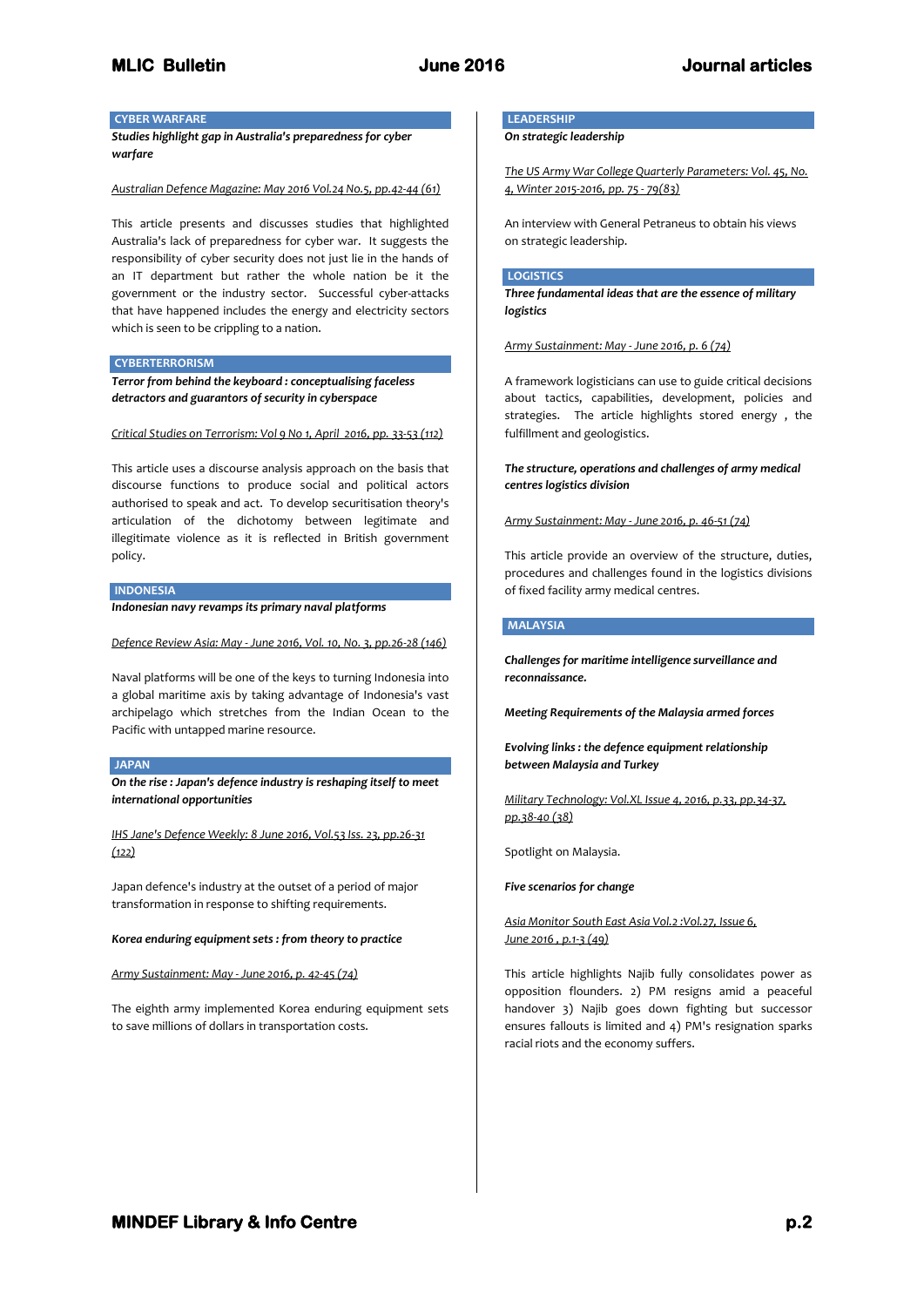# **CYBER WARFARE**

*Studies highlight gap in Australia's preparedness for cyber warfare*

## *Australian Defence Magazine: May 2016 Vol.24 No.5, pp.42-44 (61)*

This article presents and discusses studies that highlighted Australia's lack of preparedness for cyber war. It suggests the responsibility of cyber security does not just lie in the hands of an IT department but rather the whole nation be it the government or the industry sector. Successful cyber-attacks that have happened includes the energy and electricity sectors which is seen to be crippling to a nation.

### **CYBERTERRORISM**

*Terror from behind the keyboard : conceptualising faceless detractors and guarantors of security in cyberspace*

*Critical Studies on Terrorism: Vol 9 No 1, April 2016, pp. 33-53 (112)*

This article uses a discourse analysis approach on the basis that discourse functions to produce social and political actors authorised to speak and act. To develop securitisation theory's articulation of the dichotomy between legitimate and illegitimate violence as it is reflected in British government policy.

# **INDONESIA**

*Indonesian navy revamps its primary naval platforms*

*Defence Review Asia: May - June 2016, Vol. 10, No. 3, pp.26-28 (146)*

Naval platforms will be one of the keys to turning Indonesia into a global maritime axis by taking advantage of Indonesia's vast archipelago which stretches from the Indian Ocean to the Pacific with untapped marine resource.

## **JAPAN**

*On the rise : Japan's defence industry is reshaping itself to meet international opportunities*

*IHS Jane's Defence Weekly: 8 June 2016, Vol.53 Iss. 23, pp.26-31 (122)*

Japan defence's industry at the outset of a period of major transformation in response to shifting requirements.

#### *Korea enduring equipment sets : from theory to practice*

*Army Sustainment: May - June 2016, p. 42-45 (74)*

The eighth army implemented Korea enduring equipment sets to save millions of dollars in transportation costs.

# **LEADERSHIP**

*On strategic leadership*

*The US Army War College Quarterly Parameters: Vol. 45, No. 4, Winter 2015-2016, pp. 75 - 79(83)*

An interview with General Petraneus to obtain his views on strategic leadership.

# **LOGISTICS**

*Three fundamental ideas that are the essence of military logistics*

*Army Sustainment: May - June 2016, p. 6 (74)*

A framework logisticians can use to guide critical decisions about tactics, capabilities, development, policies and strategies. The article highlights stored energy , the fulfillment and geologistics.

# *The structure, operations and challenges of army medical centres logistics division*

*Army Sustainment: May - June 2016, p. 46-51 (74)*

This article provide an overview of the structure, duties, procedures and challenges found in the logistics divisions of fixed facility army medical centres.

# **MALAYSIA**

*Challenges for maritime intelligence surveillance and reconnaissance.*

*Meeting Requirements of the Malaysia armed forces*

*Evolving links : the defence equipment relationship between Malaysia and Turkey*

*Military Technology: Vol.XL Issue 4, 2016, p.33, pp.34-37, pp.38-40 (38)*

Spotlight on Malaysia.

*Five scenarios for change*

*Asia Monitor South East Asia Vol.2 :Vol.27, Issue 6, June 2016 , p.1-3 (49)*

This article highlights Najib fully consolidates power as opposition flounders. 2) PM resigns amid a peaceful handover 3) Najib goes down fighting but successor ensures fallouts is limited and 4) PM's resignation sparks racial riots and the economy suffers.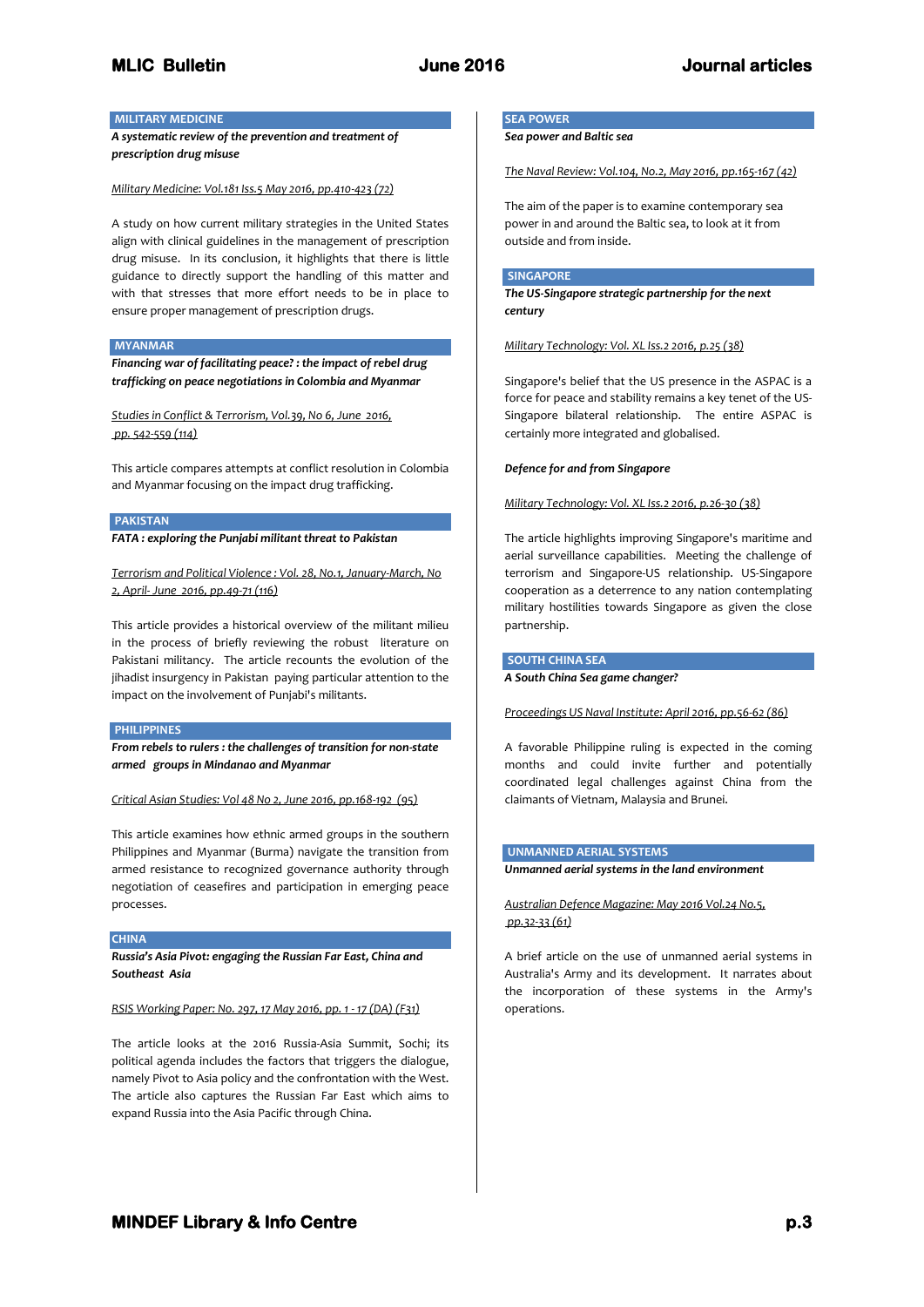# **MILITARY MEDICINE**

*A systematic review of the prevention and treatment of prescription drug misuse*

*Military Medicine: Vol.181 Iss.5 May 2016, pp.410-423 (72)*

A study on how current military strategies in the United States align with clinical guidelines in the management of prescription drug misuse. In its conclusion, it highlights that there is little guidance to directly support the handling of this matter and with that stresses that more effort needs to be in place to ensure proper management of prescription drugs.

# **MYANMAR**

*Financing war of facilitating peace? : the impact of rebel drug trafficking on peace negotiations in Colombia and Myanmar*

*Studies in Conflict & Terrorism, Vol.39, No 6, June 2016, pp. 542-559 (114)*

This article compares attempts at conflict resolution in Colombia and Myanmar focusing on the impact drug trafficking.

# **PAKISTAN**

*FATA : exploring the Punjabi militant threat to Pakistan*

*Terrorism and Political Violence : Vol. 28, No.1, January-March, No 2, April- June 2016, pp.49-71 (116)*

This article provides a historical overview of the militant milieu in the process of briefly reviewing the robust literature on Pakistani militancy. The article recounts the evolution of the jihadist insurgency in Pakistan paying particular attention to the impact on the involvement of Punjabi's militants.

### **PHILIPPINES**

*From rebels to rulers : the challenges of transition for non-state armed groups in Mindanao and Myanmar*

*Critical Asian Studies: Vol 48 No 2, June 2016, pp.168-192 (95)*

This article examines how ethnic armed groups in the southern Philippines and Myanmar (Burma) navigate the transition from armed resistance to recognized governance authority through negotiation of ceasefires and participation in emerging peace processes.

## **CHINA**

*Russia's Asia Pivot: engaging the Russian Far East, China and Southeast Asia*

## *RSIS Working Paper: No. 297, 17 May 2016, pp. 1 - 17 (DA) (F31)*

The article looks at the 2016 Russia-Asia Summit, Sochi; its political agenda includes the factors that triggers the dialogue, namely Pivot to Asia policy and the confrontation with the West. The article also captures the Russian Far East which aims to expand Russia into the Asia Pacific through China.

# **SEA POWER**

*Sea power and Baltic sea*

*The Naval Review: Vol.104, No.2, May 2016, pp.165-167 (42)*

The aim of the paper is to examine contemporary sea power in and around the Baltic sea, to look at it from outside and from inside.

# **SINGAPORE**

*The US-Singapore strategic partnership for the next century*

# *Military Technology: Vol. XL Iss.2 2016, p.25 (38)*

Singapore's belief that the US presence in the ASPAC is a force for peace and stability remains a key tenet of the US-Singapore bilateral relationship. The entire ASPAC is certainly more integrated and globalised.

## *Defence for and from Singapore*

*Military Technology: Vol. XL Iss.2 2016, p.26-30 (38)* 

The article highlights improving Singapore's maritime and aerial surveillance capabilities. Meeting the challenge of terrorism and Singapore-US relationship. US-Singapore cooperation as a deterrence to any nation contemplating military hostilities towards Singapore as given the close partnership.

# **SOUTH CHINA SEA**

*A South China Sea game changer?*

*Proceedings US Naval Institute: April 2016, pp.56-62 (86)*

A favorable Philippine ruling is expected in the coming months and could invite further and potentially coordinated legal challenges against China from the claimants of Vietnam, Malaysia and Brunei.

# **UNMANNED AERIAL SYSTEMS**

*Unmanned aerial systems in the land environment*

*Australian Defence Magazine: May 2016 Vol.24 No.5, pp.32-33 (61)*

A brief article on the use of unmanned aerial systems in Australia's Army and its development. It narrates about the incorporation of these systems in the Army's operations.